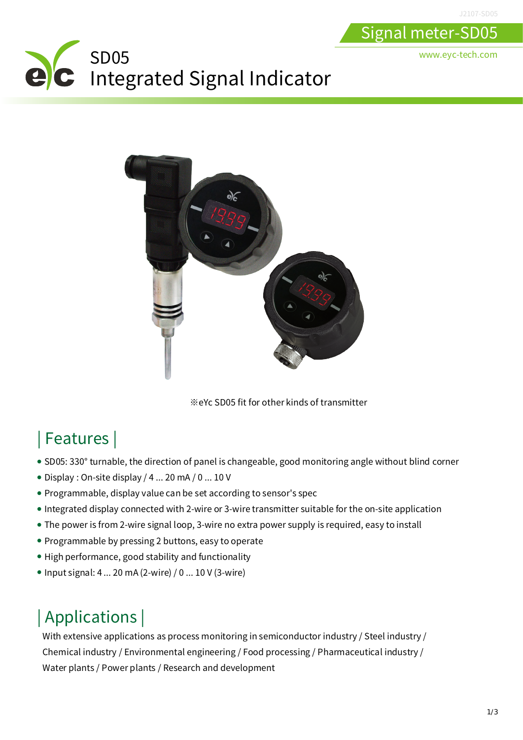www.eyc-tech.com

Signal meter-SD05

# SD05 Integrated Signal Indicator



※eYc SD05 fit for other kinds of transmitter

#### | Features |

- SD05: 330° turnable, the direction of panel is changeable, good monitoring angle without blind corner
- Display : On-site display / 4 ... 20 mA / 0 ... 10 V
- Programmable, display value can be set according to sensor's spec
- Integrated display connected with 2-wire or 3-wire transmitter suitable for the on-site application
- The power is from 2-wire signal loop, 3-wire no extra power supply is required, easy to install
- Programmable by pressing 2 buttons, easy to operate
- High performance, good stability and functionality
- $\bullet$  Input signal: 4 ... 20 mA (2-wire) / 0 ... 10 V (3-wire)

## | Applications |

With extensive applications as process monitoring in semiconductor industry / Steel industry / Chemical industry / Environmental engineering / Food processing / Pharmaceutical industry / Water plants / Power plants / Research and development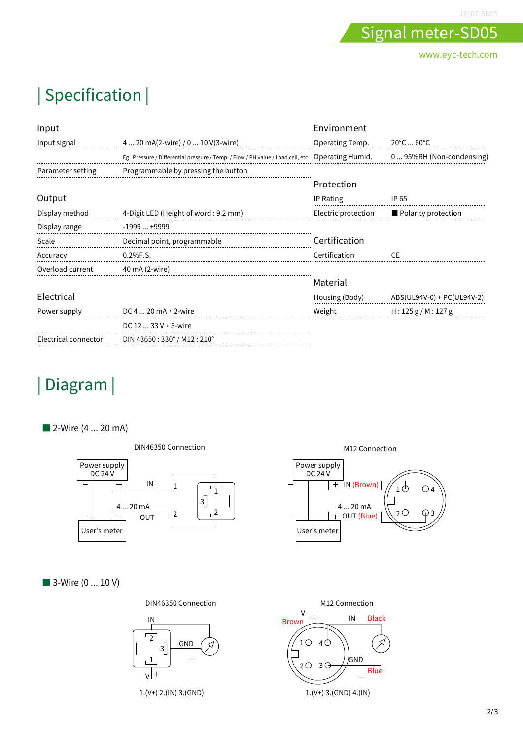J2107-SD05

www.eyc-tech.com

Signal meter-SD05

### | Specification |

| Input                |                                                                                 | Environment         |                                 |
|----------------------|---------------------------------------------------------------------------------|---------------------|---------------------------------|
| Input signal         | 4  20 mA(2-wire) / 0  10 V(3-wire)                                              | Operating Temp.     | $20^{\circ}$ C  60 $^{\circ}$ C |
|                      | Eg: Pressure / Differential pressure / Temp. / Flow / PH value / Load cell, etc | Operating Humid.    | 0 95%RH (Non-condensing)        |
| Parameter setting    | Programmable by pressing the button                                             |                     |                                 |
|                      |                                                                                 | Protection          |                                 |
| Output               |                                                                                 | IP Rating           | IP 65                           |
| Display method       | 4-Digit LED (Height of word: 9.2 mm)                                            | Electric protection | Polarity protection             |
| Display range        | $-1999+9999$                                                                    |                     |                                 |
| Scale                | Decimal point, programmable                                                     | Certification       |                                 |
| Accuracy             | 0.2%F.S.                                                                        | Certification       | CF.                             |
| Overload current     | 40 mA (2-wire)                                                                  |                     |                                 |
|                      |                                                                                 | Material            |                                 |
| Electrical           |                                                                                 | Housing (Body)      | ABS(UL94V-0) + PC(UL94V-2)      |
| Power supply         | DC 4  20 mA , 2-wire                                                            | Weight              | H: 125 g/M: 127 g               |
|                      | DC $1233V$ , 3-wire                                                             |                     |                                 |
| Electrical connector | DIN 43650: 330° / M12: 210°                                                     |                     |                                 |

#### | Diagram |

■ 2-Wire (4 ... 20 mA)



■ 3-Wire (0 ... 10 V)





1.(V+) 2.(IN) 3.(GND)





1.(V+) 3.(GND) 4.(IN)